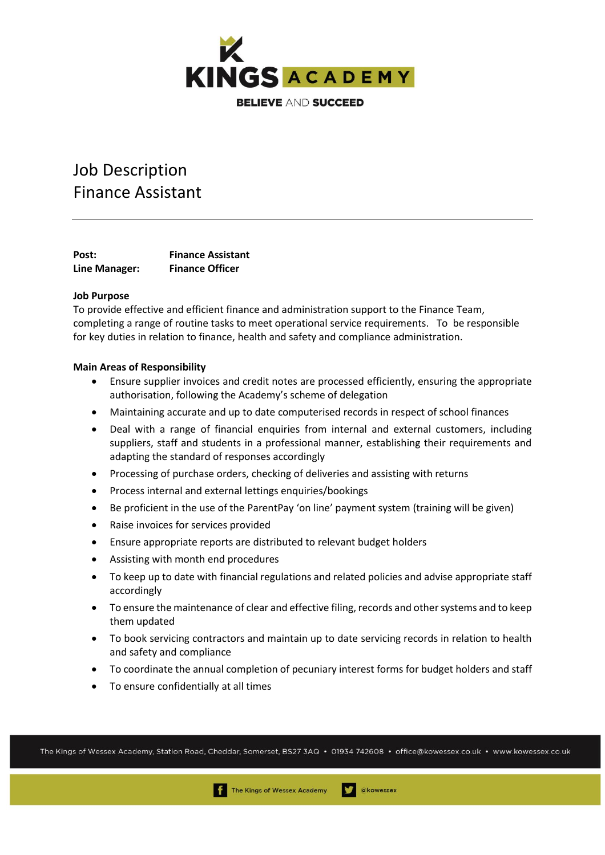

# Job Description Finance Assistant

Post: Finance Assistant **Line Manager: Finance Officer**

# **Job Purpose**

To provide effective and efficient finance and administration support to the Finance Team, completing a range of routine tasks to meet operational service requirements. To be responsible for key duties in relation to finance, health and safety and compliance administration.

### **Main Areas of Responsibility**

- Ensure supplier invoices and credit notes are processed efficiently, ensuring the appropriate authorisation, following the Academy's scheme of delegation
- Maintaining accurate and up to date computerised records in respect of school finances
- Deal with a range of financial enquiries from internal and external customers, including suppliers, staff and students in a professional manner, establishing their requirements and adapting the standard of responses accordingly
- Processing of purchase orders, checking of deliveries and assisting with returns
- Process internal and external lettings enquiries/bookings
- Be proficient in the use of the ParentPay 'on line' payment system (training will be given)
- Raise invoices for services provided
- Ensure appropriate reports are distributed to relevant budget holders
- Assisting with month end procedures
- To keep up to date with financial regulations and related policies and advise appropriate staff accordingly
- To ensure the maintenance of clear and effective filing, records and other systems and to keep them updated
- To book servicing contractors and maintain up to date servicing records in relation to health and safety and compliance
- To coordinate the annual completion of pecuniary interest forms for budget holders and staff
- To ensure confidentially at all times

The Kings of Wessex Academy, Station Road, Cheddar, Somerset, BS27 3AQ • 01934 742608 • office@kowessex.co.uk • www.kowessex.co.uk

akowessex